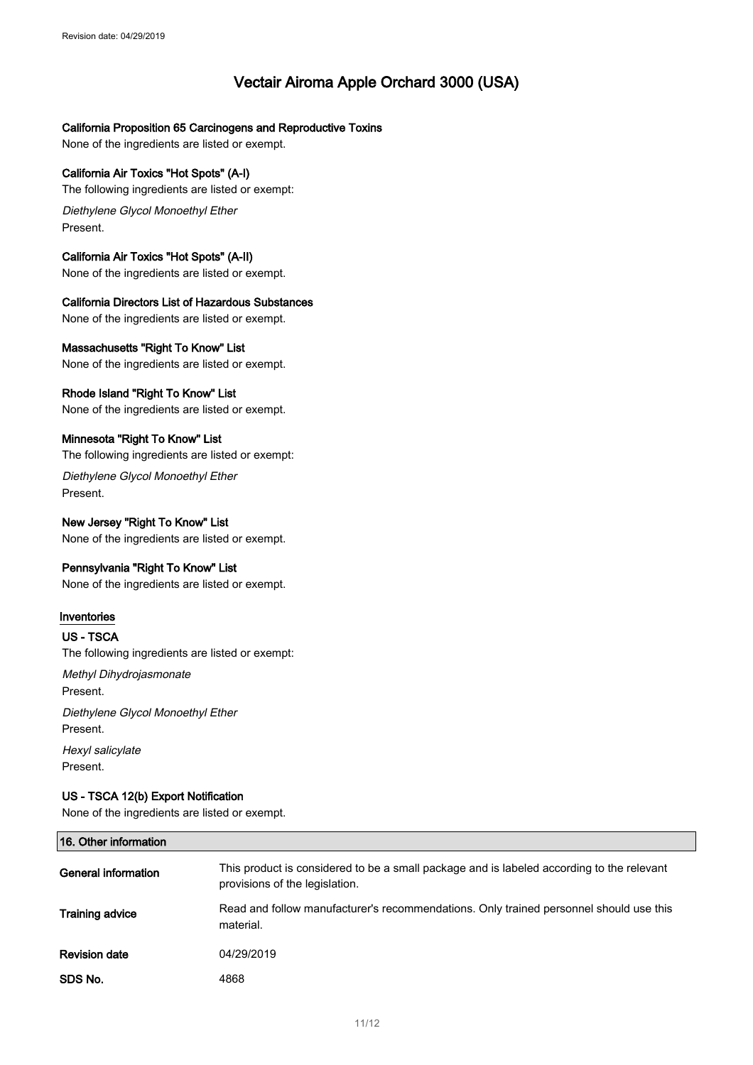# **64065 SSS Alero 3000 Amazing Apple**

### California Proposition 65 Carcinogens and Reproductive Toxins

None of the ingredients are listed or exempt.

# California Air Toxics "Hot Spots" (A-I)

The following ingredients are listed or exempt:

Diethylene Glycol Monoethyl Ether Present.

# California Air Toxics "Hot Spots" (A-II)

None of the ingredients are listed or exempt.

### California Directors List of Hazardous Substances

None of the ingredients are listed or exempt.

### Massachusetts "Right To Know" List

None of the ingredients are listed or exempt.

## Rhode Island "Right To Know" List

None of the ingredients are listed or exempt.

# Minnesota "Right To Know" List

The following ingredients are listed or exempt:

Diethylene Glycol Monoethyl Ether Present.

# New Jersey "Right To Know" List

None of the ingredients are listed or exempt.

# Pennsylvania "Right To Know" List

None of the ingredients are listed or exempt.

### Inventories

### US - TSCA

The following ingredients are listed or exempt:

Methyl Dihydrojasmonate Present.

Diethylene Glycol Monoethyl Ether Present.

Hexyl salicylate Present.

## US - TSCA 12(b) Export Notification

None of the ingredients are listed or exempt.

#### 16. Other information General information Training advice Revision date SDS No. This product is considered to be a small package and is labeled according to the relevant provisions of the legislation. Read and follow manufacturer's recommendations. Only trained personnel should use this material. 05/13/2019 4868